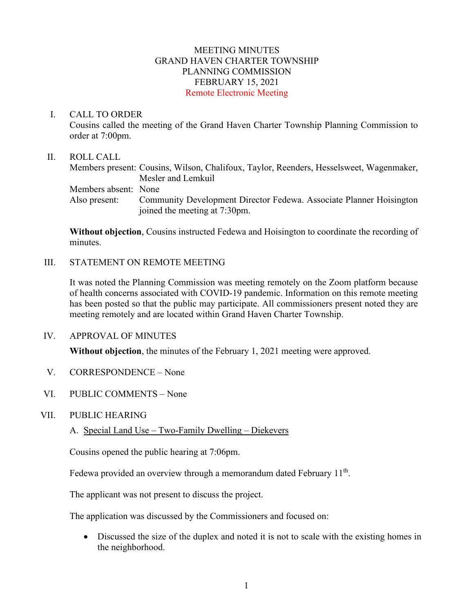## MEETING MINUTES GRAND HAVEN CHARTER TOWNSHIP PLANNING COMMISSION FEBRUARY 15, 2021 Remote Electronic Meeting

### I. CALL TO ORDER

Cousins called the meeting of the Grand Haven Charter Township Planning Commission to order at 7:00pm.

### II. ROLL CALL

Members present: Cousins, Wilson, Chalifoux, Taylor, Reenders, Hesselsweet, Wagenmaker, Mesler and Lemkuil Members absent: None Also present: Community Development Director Fedewa. Associate Planner Hoisington joined the meeting at 7:30pm.

**Without objection**, Cousins instructed Fedewa and Hoisington to coordinate the recording of minutes.

## III. STATEMENT ON REMOTE MEETING

It was noted the Planning Commission was meeting remotely on the Zoom platform because of health concerns associated with COVID-19 pandemic. Information on this remote meeting has been posted so that the public may participate. All commissioners present noted they are meeting remotely and are located within Grand Haven Charter Township.

IV. APPROVAL OF MINUTES

**Without objection**, the minutes of the February 1, 2021 meeting were approved.

- V. CORRESPONDENCE None
- VI. PUBLIC COMMENTS None
- VII. PUBLIC HEARING
	- A. Special Land Use Two-Family Dwelling Diekevers

Cousins opened the public hearing at 7:06pm.

Fedewa provided an overview through a memorandum dated February  $11<sup>th</sup>$ .

The applicant was not present to discuss the project.

The application was discussed by the Commissioners and focused on:

• Discussed the size of the duplex and noted it is not to scale with the existing homes in the neighborhood.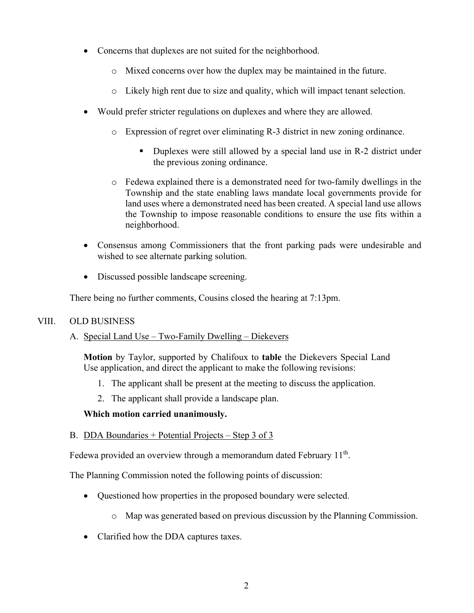- Concerns that duplexes are not suited for the neighborhood.
	- o Mixed concerns over how the duplex may be maintained in the future.
	- o Likely high rent due to size and quality, which will impact tenant selection.
- Would prefer stricter regulations on duplexes and where they are allowed.
	- o Expression of regret over eliminating R-3 district in new zoning ordinance.
		- Duplexes were still allowed by a special land use in R-2 district under the previous zoning ordinance.
	- o Fedewa explained there is a demonstrated need for two-family dwellings in the Township and the state enabling laws mandate local governments provide for land uses where a demonstrated need has been created. A special land use allows the Township to impose reasonable conditions to ensure the use fits within a neighborhood.
- Consensus among Commissioners that the front parking pads were undesirable and wished to see alternate parking solution.
- Discussed possible landscape screening.

There being no further comments, Cousins closed the hearing at 7:13pm.

# VIII. OLD BUSINESS

A. Special Land Use – Two-Family Dwelling – Diekevers

**Motion** by Taylor, supported by Chalifoux to **table** the Diekevers Special Land Use application, and direct the applicant to make the following revisions:

- 1. The applicant shall be present at the meeting to discuss the application.
- 2. The applicant shall provide a landscape plan.

## **Which motion carried unanimously.**

## B. DDA Boundaries + Potential Projects – Step 3 of 3

Fedewa provided an overview through a memorandum dated February 11<sup>th</sup>.

The Planning Commission noted the following points of discussion:

- Questioned how properties in the proposed boundary were selected.
	- o Map was generated based on previous discussion by the Planning Commission.
- Clarified how the DDA captures taxes.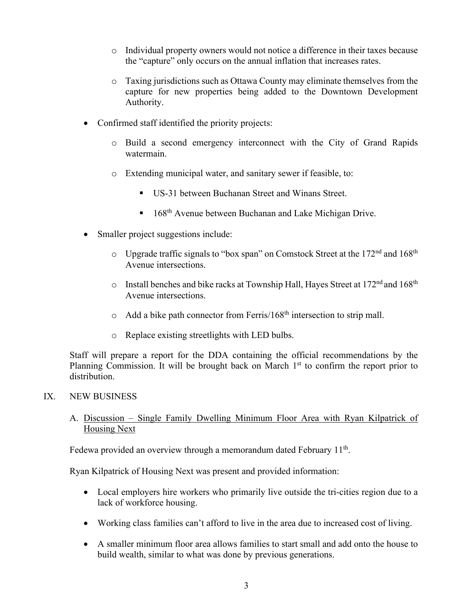- o Individual property owners would not notice a difference in their taxes because the "capture" only occurs on the annual inflation that increases rates.
- o Taxing jurisdictions such as Ottawa County may eliminate themselves from the capture for new properties being added to the Downtown Development Authority.
- Confirmed staff identified the priority projects:
	- o Build a second emergency interconnect with the City of Grand Rapids watermain.
	- o Extending municipal water, and sanitary sewer if feasible, to:
		- US-31 between Buchanan Street and Winans Street.
		- $168<sup>th</sup>$  Avenue between Buchanan and Lake Michigan Drive.
- Smaller project suggestions include:
	- $\circ$  Upgrade traffic signals to "box span" on Comstock Street at the 172<sup>nd</sup> and 168<sup>th</sup> Avenue intersections.
	- $\circ$  Install benches and bike racks at Township Hall, Hayes Street at 172<sup>nd</sup> and 168<sup>th</sup> Avenue intersections.
	- $\circ$  Add a bike path connector from Ferris/168<sup>th</sup> intersection to strip mall.
	- o Replace existing streetlights with LED bulbs.

Staff will prepare a report for the DDA containing the official recommendations by the Planning Commission. It will be brought back on March  $1<sup>st</sup>$  to confirm the report prior to distribution.

# IX. NEW BUSINESS

# A. Discussion – Single Family Dwelling Minimum Floor Area with Ryan Kilpatrick of Housing Next

Fedewa provided an overview through a memorandum dated February  $11<sup>th</sup>$ .

Ryan Kilpatrick of Housing Next was present and provided information:

- Local employers hire workers who primarily live outside the tri-cities region due to a lack of workforce housing.
- Working class families can't afford to live in the area due to increased cost of living.
- A smaller minimum floor area allows families to start small and add onto the house to build wealth, similar to what was done by previous generations.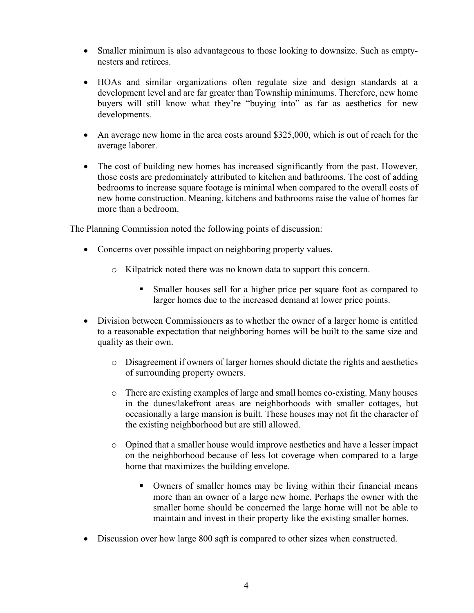- Smaller minimum is also advantageous to those looking to downsize. Such as emptynesters and retirees.
- HOAs and similar organizations often regulate size and design standards at a development level and are far greater than Township minimums. Therefore, new home buyers will still know what they're "buying into" as far as aesthetics for new developments.
- An average new home in the area costs around \$325,000, which is out of reach for the average laborer.
- The cost of building new homes has increased significantly from the past. However, those costs are predominately attributed to kitchen and bathrooms. The cost of adding bedrooms to increase square footage is minimal when compared to the overall costs of new home construction. Meaning, kitchens and bathrooms raise the value of homes far more than a bedroom.

The Planning Commission noted the following points of discussion:

- Concerns over possible impact on neighboring property values.
	- o Kilpatrick noted there was no known data to support this concern.
		- Smaller houses sell for a higher price per square foot as compared to larger homes due to the increased demand at lower price points.
- Division between Commissioners as to whether the owner of a larger home is entitled to a reasonable expectation that neighboring homes will be built to the same size and quality as their own.
	- o Disagreement if owners of larger homes should dictate the rights and aesthetics of surrounding property owners.
	- o There are existing examples of large and small homes co-existing. Many houses in the dunes/lakefront areas are neighborhoods with smaller cottages, but occasionally a large mansion is built. These houses may not fit the character of the existing neighborhood but are still allowed.
	- o Opined that a smaller house would improve aesthetics and have a lesser impact on the neighborhood because of less lot coverage when compared to a large home that maximizes the building envelope.
		- Owners of smaller homes may be living within their financial means more than an owner of a large new home. Perhaps the owner with the smaller home should be concerned the large home will not be able to maintain and invest in their property like the existing smaller homes.
- Discussion over how large 800 sqft is compared to other sizes when constructed.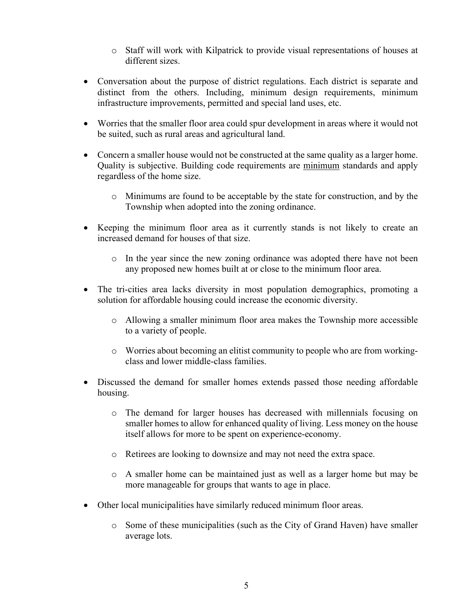- o Staff will work with Kilpatrick to provide visual representations of houses at different sizes.
- Conversation about the purpose of district regulations. Each district is separate and distinct from the others. Including, minimum design requirements, minimum infrastructure improvements, permitted and special land uses, etc.
- Worries that the smaller floor area could spur development in areas where it would not be suited, such as rural areas and agricultural land.
- Concern a smaller house would not be constructed at the same quality as a larger home. Quality is subjective. Building code requirements are minimum standards and apply regardless of the home size.
	- o Minimums are found to be acceptable by the state for construction, and by the Township when adopted into the zoning ordinance.
- Keeping the minimum floor area as it currently stands is not likely to create an increased demand for houses of that size.
	- o In the year since the new zoning ordinance was adopted there have not been any proposed new homes built at or close to the minimum floor area.
- The tri-cities area lacks diversity in most population demographics, promoting a solution for affordable housing could increase the economic diversity.
	- o Allowing a smaller minimum floor area makes the Township more accessible to a variety of people.
	- o Worries about becoming an elitist community to people who are from workingclass and lower middle-class families.
- Discussed the demand for smaller homes extends passed those needing affordable housing.
	- o The demand for larger houses has decreased with millennials focusing on smaller homes to allow for enhanced quality of living. Less money on the house itself allows for more to be spent on experience-economy.
	- o Retirees are looking to downsize and may not need the extra space.
	- o A smaller home can be maintained just as well as a larger home but may be more manageable for groups that wants to age in place.
- Other local municipalities have similarly reduced minimum floor areas.
	- o Some of these municipalities (such as the City of Grand Haven) have smaller average lots.